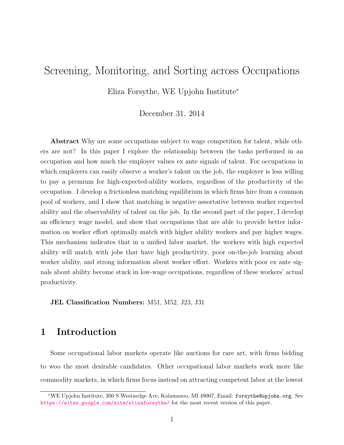# Screening, Monitoring, and Sorting across Occupations

Eliza Forsythe, WE Upjohn Institute<sup>∗</sup>

December 31, 2014

Abstract Why are some occupations subject to wage competition for talent, while others are not? In this paper I explore the relationship between the tasks performed in an occupation and how much the employer values ex ante signals of talent. For occupations in which employers can easily observe a worker's talent on the job, the employer is less willing to pay a premium for high-expected-ability workers, regardless of the productivity of the occupation. I develop a frictionless matching equilibrium in which firms hire from a common pool of workers, and I show that matching is negative assortative between worker expected ability and the observability of talent on the job. In the second part of the paper, I develop an efficiency wage model, and show that occupations that are able to provide better information on worker effort optimally match with higher ability workers and pay higher wages. This mechanism indicates that in a unified labor market, the workers with high expected ability will match with jobs that have high productivity, poor on-the-job learning about worker ability, and strong information about worker effort. Workers with poor ex ante signals about ability become stuck in low-wage occupations, regardless of these workers' actual productivity.

JEL Classification Numbers: M51, M52, J23, J31

## 1 Introduction

Some occupational labor markets operate like auctions for rare art, with firms bidding to woo the most desirable candidates. Other occupational labor markets work more like commodity markets, in which firms focus instead on attracting competent labor at the lowest

<sup>∗</sup>WE Upjohn Institute, 300 S Westnedge Ave, Kalamazoo, MI 49007, Email: forsythe@upjohn.org. See <https://sites.google.com/site/elizaforsythe/> for the most recent version of this paper.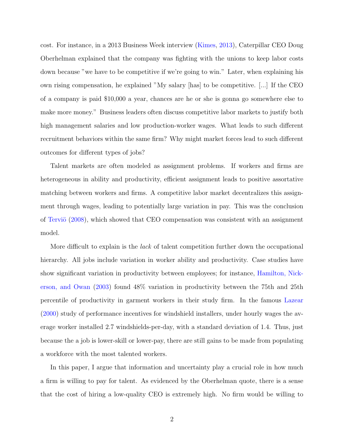cost. For instance, in a 2013 Business Week interview [\(Kimes,](#page-21-0) [2013\)](#page-21-0), Caterpillar CEO Doug Oberhelman explained that the company was fighting with the unions to keep labor costs down because "we have to be competitive if we're going to win." Later, when explaining his own rising compensation, he explained "My salary [has] to be competitive. [...] If the CEO of a company is paid \$10,000 a year, chances are he or she is gonna go somewhere else to make more money." Business leaders often discuss competitive labor markets to justify both high management salaries and low production-worker wages. What leads to such different recruitment behaviors within the same firm? Why might market forces lead to such different outcomes for different types of jobs?

Talent markets are often modeled as assignment problems. If workers and firms are heterogeneous in ability and productivity, efficient assignment leads to positive assortative matching between workers and firms. A competitive labor market decentralizes this assignment through wages, leading to potentially large variation in pay. This was the conclusion of Terviö [\(2008\)](#page-21-1), which showed that CEO compensation was consistent with an assignment model.

More difficult to explain is the *lack* of talent competition further down the occupational hierarchy. All jobs include variation in worker ability and productivity. Case studies have show significant variation in productivity between employees; for instance, [Hamilton, Nick](#page-21-2)[erson, and Owan](#page-21-2) [\(2003\)](#page-21-2) found 48% variation in productivity between the 75th and 25th percentile of productivity in garment workers in their study firm. In the famous [Lazear](#page-21-3) [\(2000\)](#page-21-3) study of performance incentives for windshield installers, under hourly wages the average worker installed 2.7 windshields-per-day, with a standard deviation of 1.4. Thus, just because the a job is lower-skill or lower-pay, there are still gains to be made from populating a workforce with the most talented workers.

In this paper, I argue that information and uncertainty play a crucial role in how much a firm is willing to pay for talent. As evidenced by the Oberhelman quote, there is a sense that the cost of hiring a low-quality CEO is extremely high. No firm would be willing to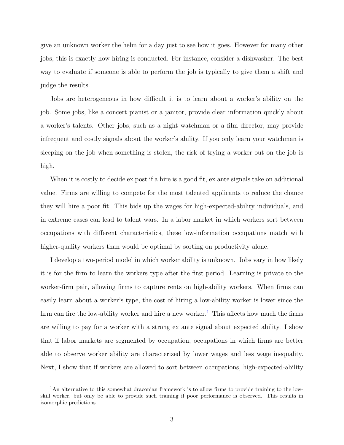give an unknown worker the helm for a day just to see how it goes. However for many other jobs, this is exactly how hiring is conducted. For instance, consider a dishwasher. The best way to evaluate if someone is able to perform the job is typically to give them a shift and judge the results.

Jobs are heterogeneous in how difficult it is to learn about a worker's ability on the job. Some jobs, like a concert pianist or a janitor, provide clear information quickly about a worker's talents. Other jobs, such as a night watchman or a film director, may provide infrequent and costly signals about the worker's ability. If you only learn your watchman is sleeping on the job when something is stolen, the risk of trying a worker out on the job is high.

When it is costly to decide ex post if a hire is a good fit, ex ante signals take on additional value. Firms are willing to compete for the most talented applicants to reduce the chance they will hire a poor fit. This bids up the wages for high-expected-ability individuals, and in extreme cases can lead to talent wars. In a labor market in which workers sort between occupations with different characteristics, these low-information occupations match with higher-quality workers than would be optimal by sorting on productivity alone.

I develop a two-period model in which worker ability is unknown. Jobs vary in how likely it is for the firm to learn the workers type after the first period. Learning is private to the worker-firm pair, allowing firms to capture rents on high-ability workers. When firms can easily learn about a worker's type, the cost of hiring a low-ability worker is lower since the firm can fire the low-ability worker and hire a new worker.<sup>[1](#page-2-0)</sup> This affects how much the firms are willing to pay for a worker with a strong ex ante signal about expected ability. I show that if labor markets are segmented by occupation, occupations in which firms are better able to observe worker ability are characterized by lower wages and less wage inequality. Next, I show that if workers are allowed to sort between occupations, high-expected-ability

<span id="page-2-0"></span><sup>&</sup>lt;sup>1</sup>An alternative to this somewhat draconian framework is to allow firms to provide training to the lowskill worker, but only be able to provide such training if poor performance is observed. This results in isomorphic predictions.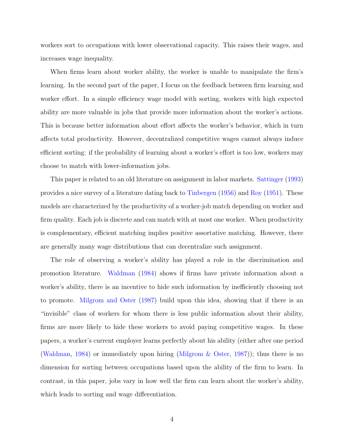workers sort to occupations with lower observational capacity. This raises their wages, and increases wage inequality.

When firms learn about worker ability, the worker is unable to manipulate the firm's learning. In the second part of the paper, I focus on the feedback between firm learning and worker effort. In a simple efficiency wage model with sorting, workers with high expected ability are more valuable in jobs that provide more information about the worker's actions. This is because better information about effort affects the worker's behavior, which in turn affects total productivity. However, decentralized competitive wages cannot always induce efficient sorting: if the probability of learning about a worker's effort is too low, workers may choose to match with lower-information jobs.

This paper is related to an old literature on assignment in labor markets. [Sattinger](#page-21-4) [\(1993\)](#page-21-4) provides a nice survey of a literature dating back to [Tinbergen](#page-21-5) [\(1956\)](#page-21-5) and [Roy](#page-21-6) [\(1951\)](#page-21-6). These models are characterized by the productivity of a worker-job match depending on worker and firm quality. Each job is discrete and can match with at most one worker. When productivity is complementary, efficient matching implies positive assortative matching. However, there are generally many wage distributions that can decentralize such assignment.

The role of observing a worker's ability has played a role in the discrimination and promotion literature. [Waldman](#page-22-0) [\(1984\)](#page-22-0) shows if firms have private information about a worker's ability, there is an incentive to hide such information by inefficiently choosing not to promote. [Milgrom and Oster](#page-21-7) [\(1987\)](#page-21-7) build upon this idea, showing that if there is an "invisible" class of workers for whom there is less public information about their ability, firms are more likely to hide these workers to avoid paying competitive wages. In these papers, a worker's current employer learns perfectly about his ability (either after one period [\(Waldman,](#page-22-0) [1984\)](#page-22-0) or immediately upon hiring [\(Milgrom & Oster,](#page-21-7) [1987\)](#page-21-7)); thus there is no dimension for sorting between occupations based upon the ability of the firm to learn. In contrast, in this paper, jobs vary in how well the firm can learn about the worker's ability, which leads to sorting and wage differentiation.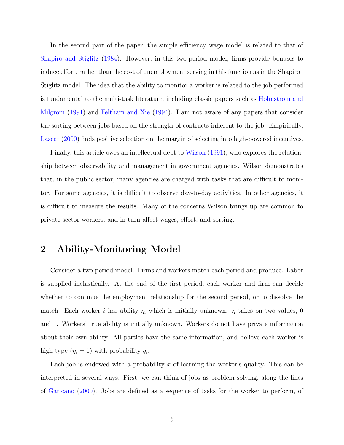In the second part of the paper, the simple efficiency wage model is related to that of [Shapiro and Stiglitz](#page-21-8) [\(1984\)](#page-21-8). However, in this two-period model, firms provide bonuses to induce effort, rather than the cost of unemployment serving in this function as in the Shapiro– Stiglitz model. The idea that the ability to monitor a worker is related to the job performed is fundamental to the multi-task literature, including classic papers such as [Holmstrom and](#page-21-9) [Milgrom](#page-21-9) [\(1991\)](#page-21-9) and [Feltham and Xie](#page-21-10) [\(1994\)](#page-21-10). I am not aware of any papers that consider the sorting between jobs based on the strength of contracts inherent to the job. Empirically, [Lazear](#page-21-3) [\(2000\)](#page-21-3) finds positive selection on the margin of selecting into high-powered incentives.

Finally, this article owes an intellectual debt to [Wilson](#page-22-1) [\(1991\)](#page-22-1), who explores the relationship between observability and management in government agencies. Wilson demonstrates that, in the public sector, many agencies are charged with tasks that are difficult to monitor. For some agencies, it is difficult to observe day-to-day activities. In other agencies, it is difficult to measure the results. Many of the concerns Wilson brings up are common to private sector workers, and in turn affect wages, effort, and sorting.

## 2 Ability-Monitoring Model

Consider a two-period model. Firms and workers match each period and produce. Labor is supplied inelastically. At the end of the first period, each worker and firm can decide whether to continue the employment relationship for the second period, or to dissolve the match. Each worker i has ability  $\eta_i$  which is initially unknown.  $\eta$  takes on two values, 0 and 1. Workers' true ability is initially unknown. Workers do not have private information about their own ability. All parties have the same information, and believe each worker is high type  $(\eta_i = 1)$  with probability  $q_i$ .

Each job is endowed with a probability x of learning the worker's quality. This can be interpreted in several ways. First, we can think of jobs as problem solving, along the lines of [Garicano](#page-21-11) [\(2000\)](#page-21-11). Jobs are defined as a sequence of tasks for the worker to perform, of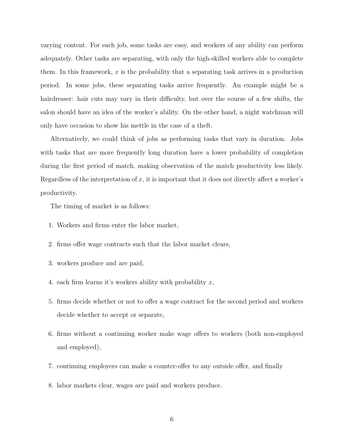varying content. For each job, some tasks are easy, and workers of any ability can perform adequately. Other tasks are separating, with only the high-skilled workers able to complete them. In this framework, x is the probability that a separating task arrives in a production period. In some jobs, these separating tasks arrive frequently. An example might be a hairdresser: hair cuts may vary in their difficulty, but over the course of a few shifts, the salon should have an idea of the worker's ability. On the other hand, a night watchman will only have occasion to show his mettle in the case of a theft.

Alternatively, we could think of jobs as performing tasks that vary in duration. Jobs with tasks that are more frequently long duration have a lower probability of completion during the first period of match, making observation of the match productivity less likely. Regardless of the interpretation of  $x$ , it is important that it does not directly affect a worker's productivity.

The timing of market is as follows:

- 1. Workers and firms enter the labor market,
- 2. firms offer wage contracts such that the labor market clears,
- 3. workers produce and are paid,
- 4. each firm learns it's workers ability with probability  $x$ ,
- 5. firms decide whether or not to offer a wage contract for the second period and workers decide whether to accept or separate,
- 6. firms without a continuing worker make wage offers to workers (both non-employed and employed),
- 7. continuing employers can make a counter-offer to any outside offer, and finally
- 8. labor markets clear, wages are paid and workers produce.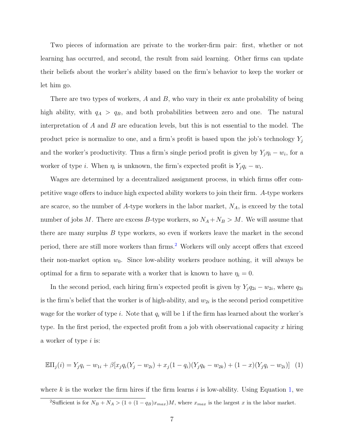Two pieces of information are private to the worker-firm pair: first, whether or not learning has occurred, and second, the result from said learning. Other firms can update their beliefs about the worker's ability based on the firm's behavior to keep the worker or let him go.

There are two types of workers,  $A$  and  $B$ , who vary in their ex ante probability of being high ability, with  $q_A > q_B$ , and both probabilities between zero and one. The natural interpretation of  $A$  and  $B$  are education levels, but this is not essential to the model. The product price is normalize to one, and a firm's profit is based upon the job's technology  $Y_i$ and the worker's productivity. Thus a firm's single period profit is given by  $Y_j \eta_i - w_i$ , for a worker of type *i*. When  $\eta_i$  is unknown, the firm's expected profit is  $Y_j q_i - w_i$ .

Wages are determined by a decentralized assignment process, in which firms offer competitive wage offers to induce high expected ability workers to join their firm. A-type workers are scarce, so the number of A-type workers in the labor market,  $N_A$ , is exceed by the total number of jobs M. There are excess B-type workers, so  $N_A + N_B > M$ . We will assume that there are many surplus  $B$  type workers, so even if workers leave the market in the second period, there are still more workers than firms.<sup>[2](#page-6-0)</sup> Workers will only accept offers that exceed their non-market option  $w_0$ . Since low-ability workers produce nothing, it will always be optimal for a firm to separate with a worker that is known to have  $\eta_i = 0$ .

In the second period, each hiring firm's expected profit is given by  $Y_j q_{2i} - w_{2i}$ , where  $q_{2i}$ is the firm's belief that the worker is of high-ability, and  $w_{2i}$  is the second period competitive wage for the worker of type i. Note that  $q_i$  will be 1 if the firm has learned about the worker's type. In the first period, the expected profit from a job with observational capacity x hiring a worker of type i is:

<span id="page-6-1"></span>
$$
\mathbb{E} \Pi_j(i) = Y_j q_i - w_{1i} + \beta [x_j q_i (Y_j - w_{2i}) + x_j (1 - q_i) (Y_j q_k - w_{2k}) + (1 - x) (Y_j q_i - w_{2i})]
$$
(1)

where k is the worker the firm hires if the firm learns  $i$  is low-ability. Using Equation [1,](#page-6-1) we

<span id="page-6-0"></span><sup>&</sup>lt;sup>2</sup>Sufficient is for  $N_B + N_A > (1 + (1 - q_B)x_{max})M$ , where  $x_{max}$  is the largest x in the labor market.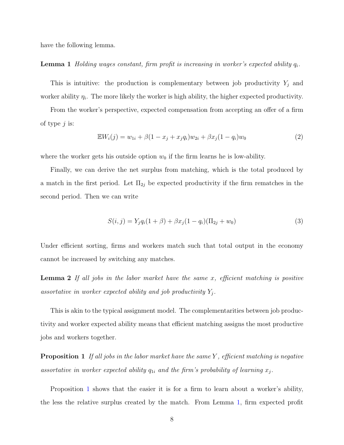<span id="page-7-1"></span>have the following lemma.

**Lemma 1** Holding wages constant, firm profit is increasing in worker's expected ability  $q_i$ .

This is intuitive: the production is complementary between job productivity  $Y_j$  and worker ability  $\eta_i$ . The more likely the worker is high ability, the higher expected productivity.

From the worker's perspective, expected compensation from accepting an offer of a firm of type  $j$  is:

$$
\mathbb{E}W_i(j) = w_{1i} + \beta(1 - x_j + x_j q_i)w_{2i} + \beta x_j(1 - q_i)w_0
$$
\n(2)

where the worker gets his outside option  $w_0$  if the firm learns he is low-ability.

Finally, we can derive the net surplus from matching, which is the total produced by a match in the first period. Let  $\Pi_{2j}$  be expected productivity if the firm rematches in the second period. Then we can write

$$
S(i,j) = Y_j q_i (1 + \beta) + \beta x_j (1 - q_i) (\Pi_{2j} + w_0)
$$
\n(3)

Under efficient sorting, firms and workers match such that total output in the economy cannot be increased by switching any matches.

**Lemma 2** If all jobs in the labor market have the same x, efficient matching is positive assortative in worker expected ability and job productivity  $Y_j$ .

This is akin to the typical assignment model. The complementarities between job productivity and worker expected ability means that efficient matching assigns the most productive jobs and workers together.

<span id="page-7-0"></span>**Proposition 1** If all jobs in the labor market have the same Y, efficient matching is negative assortative in worker expected ability  $q_{1i}$  and the firm's probability of learning  $x_j$ .

Proposition [1](#page-7-0) shows that the easier it is for a firm to learn about a worker's ability, the less the relative surplus created by the match. From Lemma [1,](#page-7-1) firm expected profit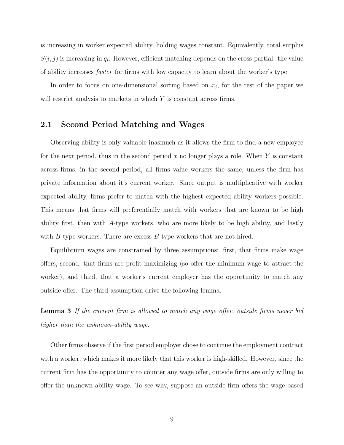is increasing in worker expected ability, holding wages constant. Equivalently, total surplus  $S(i, j)$  is increasing in  $q_i$ . However, efficient matching depends on the cross-partial: the value of ability increases faster for firms with low capacity to learn about the worker's type.

In order to focus on one-dimensional sorting based on  $x_j$ , for the rest of the paper we will restrict analysis to markets in which Y is constant across firms.

### 2.1 Second Period Matching and Wages

Observing ability is only valuable inasmuch as it allows the firm to find a new employee for the next period, thus in the second period x no longer plays a role. When Y is constant across firms, in the second period, all firms value workers the same, unless the firm has private information about it's current worker. Since output is multiplicative with worker expected ability, firms prefer to match with the highest expected ability workers possible. This means that firms will preferentially match with workers that are known to be high ability first, then with A-type workers, who are more likely to be high ability, and lastly with  $B$  type workers. There are excess  $B$ -type workers that are not hired.

Equilibrium wages are constrained by three assumptions: first, that firms make wage offers, second, that firms are profit maximizing (so offer the minimum wage to attract the worker), and third, that a worker's current employer has the opportunity to match any outside offer. The third assumption drive the following lemma.

**Lemma 3** If the current firm is allowed to match any wage offer, outside firms never bid higher than the unknown-ability wage.

Other firms observe if the first period employer chose to continue the employment contract with a worker, which makes it more likely that this worker is high-skilled. However, since the current firm has the opportunity to counter any wage offer, outside firms are only willing to offer the unknown ability wage. To see why, suppose an outside firm offers the wage based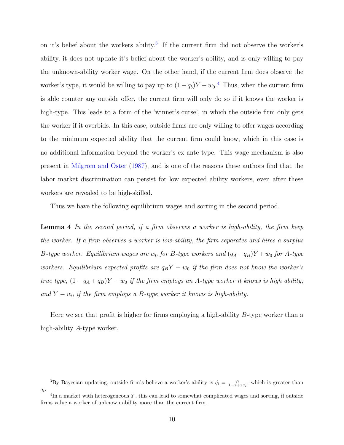on it's belief about the workers ability.<sup>[3](#page-9-0)</sup> If the current firm did not observe the worker's ability, it does not update it's belief about the worker's ability, and is only willing to pay the unknown-ability worker wage. On the other hand, if the current firm does observe the worker's type, it would be willing to pay up to  $(1 - q_b)Y - w_0$ .<sup>[4](#page-9-1)</sup> Thus, when the current firm is able counter any outside offer, the current firm will only do so if it knows the worker is high-type. This leads to a form of the 'winner's curse', in which the outside firm only gets the worker if it overbids. In this case, outside firms are only willing to offer wages according to the minimum expected ability that the current firm could know, which in this case is no additional information beyond the worker's ex ante type. This wage mechanism is also present in [Milgrom and Oster](#page-21-7) [\(1987\)](#page-21-7), and is one of the reasons these authors find that the labor market discrimination can persist for low expected ability workers, even after these workers are revealed to be high-skilled.

<span id="page-9-2"></span>Thus we have the following equilibrium wages and sorting in the second period.

Lemma 4 In the second period, if a firm observes a worker is high-ability, the firm keep the worker. If a firm observes a worker is low-ability, the firm separates and hires a surplus B-type worker. Equilibrium wages are  $w_0$  for B-type workers and  $(q_A - q_B)Y + w_0$  for A-type workers. Equilibrium expected profits are  $q_BY - w_0$  if the firm does not know the worker's true type,  $(1 - q_A + q_B)Y - w_0$  if the firm employs an A-type worker it knows is high ability, and  $Y - w_0$  if the firm employs a B-type worker it knows is high-ability.

Here we see that profit is higher for firms employing a high-ability B-type worker than a high-ability A-type worker.

<span id="page-9-0"></span><sup>&</sup>lt;sup>3</sup>By Bayesian updating, outside firm's believe a worker's ability is  $\hat{q}_i = \frac{q_i}{1-x+xq_i}$ , which is greater than  $q_i$ .

<span id="page-9-1"></span> ${}^{4}$ In a market with heterogeneous Y, this can lead to somewhat complicated wages and sorting, if outside firms value a worker of unknown ability more than the current firm.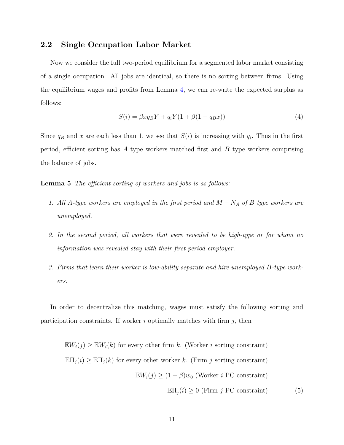#### 2.2 Single Occupation Labor Market

Now we consider the full two-period equilibrium for a segmented labor market consisting of a single occupation. All jobs are identical, so there is no sorting between firms. Using the equilibrium wages and profits from Lemma [4,](#page-9-2) we can re-write the expected surplus as follows:

<span id="page-10-1"></span>
$$
S(i) = \beta x q_B Y + q_i Y (1 + \beta (1 - q_B x))
$$
\n<sup>(4)</sup>

Since  $q_B$  and x are each less than 1, we see that  $S(i)$  is increasing with  $q_i$ . Thus in the first period, efficient sorting has A type workers matched first and  $B$  type workers comprising the balance of jobs.

#### Lemma 5 The efficient sorting of workers and jobs is as follows:

- 1. All A-type workers are employed in the first period and  $M N_A$  of B type workers are unemployed.
- 2. In the second period, all workers that were revealed to be high-type or for whom no information was revealed stay with their first period employer.
- <span id="page-10-0"></span>3. Firms that learn their worker is low-ability separate and hire unemployed B-type workers.

In order to decentralize this matching, wages must satisfy the following sorting and participation constraints. If worker  $i$  optimally matches with firm  $j$ , then

 $\mathbb{E}W_i(j) \geq \mathbb{E}W_i(k)$  for every other firm k. (Worker i sorting constraint)  $\mathbb{E} \Pi_j(i) \geq \mathbb{E} \Pi_j(k)$  for every other worker k. (Firm j sorting constraint)  $\mathbb{E}W_i(j) \geq (1+\beta)w_0$  (Worker *i* PC constraint)  $\mathbb{E} \Pi_i(i) \geq 0$  (Firm j PC constraint) (5)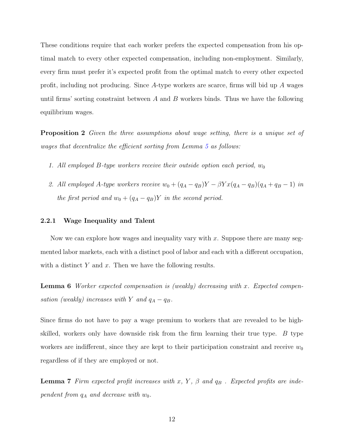These conditions require that each worker prefers the expected compensation from his optimal match to every other expected compensation, including non-employment. Similarly, every firm must prefer it's expected profit from the optimal match to every other expected profit, including not producing. Since A-type workers are scarce, firms will bid up A wages until firms' sorting constraint between  $A$  and  $B$  workers binds. Thus we have the following equilibrium wages.

**Proposition 2** Given the three assumptions about wage setting, there is a unique set of wages that decentralize the efficient sorting from Lemma [5](#page-10-0) as follows:

- 1. All employed B-type workers receive their outside option each period,  $w_0$
- 2. All employed A-type workers receive  $w_0 + (q_A q_B)Y \beta Y x (q_A q_B)(q_A + q_B 1)$  in the first period and  $w_0 + (q_A - q_B)Y$  in the second period.

#### 2.2.1 Wage Inequality and Talent

Now we can explore how wages and inequality vary with x. Suppose there are many segmented labor markets, each with a distinct pool of labor and each with a different occupation, with a distinct  $Y$  and  $x$ . Then we have the following results.

Lemma 6 Worker expected compensation is (weakly) decreasing with x. Expected compensation (weakly) increases with Y and  $q_A - q_B$ .

Since firms do not have to pay a wage premium to workers that are revealed to be highskilled, workers only have downside risk from the firm learning their true type.  $B$  type workers are indifferent, since they are kept to their participation constraint and receive  $w_0$ regardless of if they are employed or not.

**Lemma 7** Firm expected profit increases with x, Y,  $\beta$  and  $q_B$ . Expected profits are independent from  $q_A$  and decrease with  $w_0$ .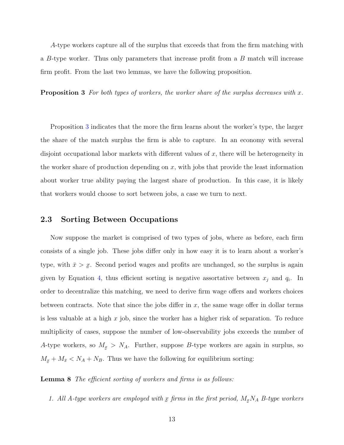A-type workers capture all of the surplus that exceeds that from the firm matching with a B-type worker. Thus only parameters that increase profit from a B match will increase firm profit. From the last two lemmas, we have the following proposition.

<span id="page-12-0"></span>**Proposition 3** For both types of workers, the worker share of the surplus decreases with  $x$ .

Proposition [3](#page-12-0) indicates that the more the firm learns about the worker's type, the larger the share of the match surplus the firm is able to capture. In an economy with several disjoint occupational labor markets with different values of x, there will be heterogeneity in the worker share of production depending on  $x$ , with jobs that provide the least information about worker true ability paying the largest share of production. In this case, it is likely that workers would choose to sort between jobs, a case we turn to next.

#### 2.3 Sorting Between Occupations

Now suppose the market is comprised of two types of jobs, where as before, each firm consists of a single job. These jobs differ only in how easy it is to learn about a worker's type, with  $\bar{x} > \bar{x}$ . Second period wages and profits are unchanged, so the surplus is again given by Equation [4,](#page-10-1) thus efficient sorting is negative assortative between  $x_j$  and  $q_i$ . In order to decentralize this matching, we need to derive firm wage offers and workers choices between contracts. Note that since the jobs differ in  $x$ , the same wage offer in dollar terms is less valuable at a high  $x$  job, since the worker has a higher risk of separation. To reduce multiplicity of cases, suppose the number of low-observability jobs exceeds the number of A-type workers, so  $M_x > N_A$ . Further, suppose B-type workers are again in surplus, so  $M_{\tilde{x}} + M_{\tilde{x}} < N_A + N_B$ . Thus we have the following for equilibrium sorting:

Lemma 8 The efficient sorting of workers and firms is as follows:

1. All A-type workers are employed with  $\underline{x}$  firms in the first period,  $M_{\underline{x}}N_A$  B-type workers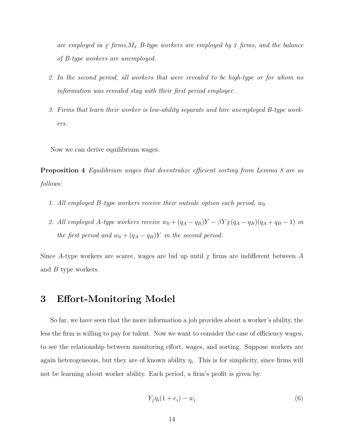are employed in x firms,  $M_{\bar{x}}$  B-type workers are employed by  $\bar{x}$  firms, and the balance of B-type workers are unemployed.

- 2. In the second period, all workers that were revealed to be high-type or for whom no information was revealed stay with their first period employer.
- <span id="page-13-0"></span>3. Firms that learn their worker is low-ability separate and hire unemployed B-type workers.

Now we can derive equilibrium wages.

Proposition 4 Equilibrium wages that decentralize efficient sorting from Lemma [8](#page-13-0) are as follows:

- 1. All employed B-type workers receive their outside option each period,  $w_0$
- 2. All employed A-type workers receive  $w_0 + (q_A q_B)Y \beta Y \underline{x}(q_A q_B)(q_A + q_B 1)$  in the first period and  $w_0 + (q_A - q_B)Y$  in the second period.

Since A-type workers are scarce, wages are bid up until  $x$  firms are indifferent between A and B type workers.

### 3 Effort-Monitoring Model

So far, we have seen that the more information a job provides about a worker's ability, the less the firm is willing to pay for talent. Now we want to consider the case of efficiency wages, to see the relationship between monitoring effort, wages, and sorting. Suppose workers are again heterogeneous, but they are of known ability  $\eta_i$ . This is for simplicity, since firms will not be learning about worker ability. Each period, a firm's profit is given by:

$$
Y_j \eta_i (1 + e_i) - w_i \tag{6}
$$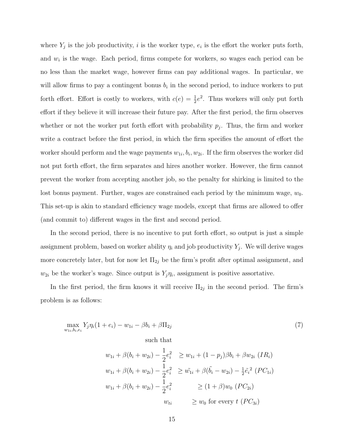where  $Y_j$  is the job productivity, i is the worker type,  $e_i$  is the effort the worker puts forth, and  $w_i$  is the wage. Each period, firms compete for workers, so wages each period can be no less than the market wage, however firms can pay additional wages. In particular, we will allow firms to pay a contingent bonus  $b_i$  in the second period, to induce workers to put forth effort. Effort is costly to workers, with  $c(e) = \frac{1}{2}e^2$ . Thus workers will only put forth effort if they believe it will increase their future pay. After the first period, the firm observes whether or not the worker put forth effort with probability  $p_j$ . Thus, the firm and worker write a contract before the first period, in which the firm specifies the amount of effort the worker should perform and the wage payments  $w_{1i}$ ,  $b_i$ ,  $w_{2i}$ . If the firm observes the worker did not put forth effort, the firm separates and hires another worker. However, the firm cannot prevent the worker from accepting another job, so the penalty for shirking is limited to the lost bonus payment. Further, wages are constrained each period by the minimum wage,  $w_0$ . This set-up is akin to standard efficiency wage models, except that firms are allowed to offer (and commit to) different wages in the first and second period.

In the second period, there is no incentive to put forth effort, so output is just a simple assignment problem, based on worker ability  $\eta_i$  and job productivity  $Y_j$ . We will derive wages more concretely later, but for now let  $\Pi_{2j}$  be the firm's profit after optimal assignment, and  $w_{2i}$  be the worker's wage. Since output is  $Y_j \eta_i$ , assignment is positive assortative.

In the first period, the firm knows it will receive  $\Pi_{2j}$  in the second period. The firm's problem is as follows:

$$
\max_{w_{1i}, b_i, e_i} Y_j \eta_i (1 + e_i) - w_{1i} - \beta b_i + \beta \Pi_{2j} \tag{7}
$$

such that

$$
w_{1i} + \beta(b_i + w_{2i}) - \frac{1}{2}e_i^2 \ge w_{1i} + (1 - p_j)\beta b_i + \beta w_{2i} \ (IR_i)
$$
  

$$
w_{1i} + \beta(b_i + w_{2i}) - \frac{1}{2}e_i^2 \ge \tilde{w}_{1i} + \beta(\tilde{b}_i - w_{2i}) - \frac{1}{2}\tilde{e}_i^2 \ (PC_{1i})
$$
  

$$
w_{1i} + \beta(b_i + w_{2i}) - \frac{1}{2}e_i^2 \ge (1 + \beta)w_0 \ (PC_{2i})
$$
  

$$
w_{ti} \ge w_0 \text{ for every } t \ (PC_{3i})
$$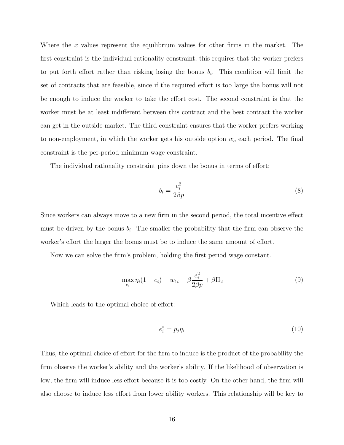Where the  $\tilde{x}$  values represent the equilibrium values for other firms in the market. The first constraint is the individual rationality constraint, this requires that the worker prefers to put forth effort rather than risking losing the bonus  $b_i$ . This condition will limit the set of contracts that are feasible, since if the required effort is too large the bonus will not be enough to induce the worker to take the effort cost. The second constraint is that the worker must be at least indifferent between this contract and the best contract the worker can get in the outside market. The third constraint ensures that the worker prefers working to non-employment, in which the worker gets his outside option  $w<sub>o</sub>$  each period. The final constraint is the per-period minimum wage constraint.

The individual rationality constraint pins down the bonus in terms of effort:

$$
b_i = \frac{e_i^2}{2\beta p} \tag{8}
$$

Since workers can always move to a new firm in the second period, the total incentive effect must be driven by the bonus  $b_i$ . The smaller the probability that the firm can observe the worker's effort the larger the bonus must be to induce the same amount of effort.

Now we can solve the firm's problem, holding the first period wage constant.

$$
\max_{e_i} \eta_i (1 + e_i) - w_{1i} - \beta \frac{e_i^2}{2\beta p} + \beta \Pi_2 \tag{9}
$$

Which leads to the optimal choice of effort:

$$
e_i^* = p_j \eta_i \tag{10}
$$

Thus, the optimal choice of effort for the firm to induce is the product of the probability the firm observe the worker's ability and the worker's ability. If the likelihood of observation is low, the firm will induce less effort because it is too costly. On the other hand, the firm will also choose to induce less effort from lower ability workers. This relationship will be key to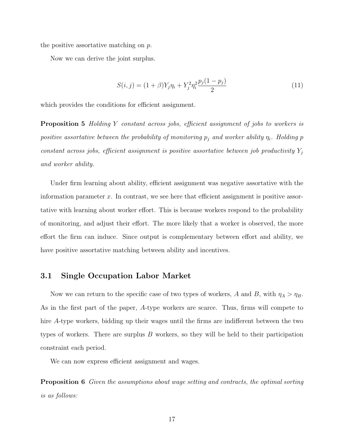the positive assortative matching on p.

Now we can derive the joint surplus.

$$
S(i,j) = (1+\beta)Y_j \eta_i + Y_j^2 \eta_i^2 \frac{p_j(1-p_j)}{2} \tag{11}
$$

which provides the conditions for efficient assignment.

**Proposition 5** Holding Y constant across jobs, efficient assignment of jobs to workers is positive assortative between the probability of monitoring  $p_j$  and worker ability  $\eta_i$ . Holding p constant across jobs, efficient assignment is positive assortative between job productivity  $Y_j$ and worker ability.

Under firm learning about ability, efficient assignment was negative assortative with the information parameter x. In contrast, we see here that efficient assignment is positive assortative with learning about worker effort. This is because workers respond to the probability of monitoring, and adjust their effort. The more likely that a worker is observed, the more effort the firm can induce. Since output is complementary between effort and ability, we have positive assortative matching between ability and incentives.

### 3.1 Single Occupation Labor Market

Now we can return to the specific case of two types of workers, A and B, with  $\eta_A > \eta_B$ . As in the first part of the paper, A-type workers are scarce. Thus, firms will compete to hire A-type workers, bidding up their wages until the firms are indifferent between the two types of workers. There are surplus  $B$  workers, so they will be held to their participation constraint each period.

We can now express efficient assignment and wages.

**Proposition 6** Given the assumptions about wage setting and contracts, the optimal sorting is as follows: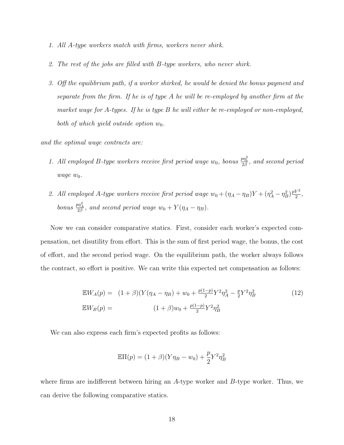- 1. All A-type workers match with firms, workers never shirk.
- 2. The rest of the jobs are filled with B-type workers, who never shirk.
- 3. Off the equilibrium path, if a worker shirked, he would be denied the bonus payment and separate from the firm. If he is of type A he will be re-employed by another firm at the market wage for A-types. If he is type B he will either be re-employed or non-employed, both of which yield outside option  $w_0$ .

and the optimal wage contracts are:

- 1. All employed B-type workers receive first period wage  $w_0$ , bonus  $\frac{p\eta_b^2}{2\beta}$ , and second period  $wage w_0.$
- 2. All employed A-type workers receive first period wage  $w_0 + (\eta_A \eta_B)Y + (\eta_A^2 \eta_B^2)\frac{pY^2}{2}$  $rac{Y^2}{2}$ , bonus  $\frac{p\eta_A^2}{2\beta}$ , and second period wage  $w_0 + Y(\eta_A - \eta_B)$ .

Now we can consider comparative statics. First, consider each worker's expected compensation, net disutility from effort. This is the sum of first period wage, the bonus, the cost of effort, and the second period wage. On the equilibrium path, the worker always follows the contract, so effort is positive. We can write this expected net compensation as follows:

$$
\mathbb{E}W_A(p) = (1+\beta)(Y(\eta_A - \eta_B) + w_0 + \frac{p(1-p)}{2}Y^2\eta_A^2 - \frac{p}{2}Y^2\eta_B^2)
$$
(12)  

$$
\mathbb{E}W_B(p) = (1+\beta)w_0 + \frac{p(1-p)}{2}Y^2\eta_B^2
$$

We can also express each firm's expected profits as follows:

$$
\mathbb{E}\Pi(p) = (1+\beta)(Y\eta_B - w_0) + \frac{p}{2}Y^2\eta_B^2
$$

where firms are indifferent between hiring an A-type worker and B-type worker. Thus, we can derive the following comparative statics.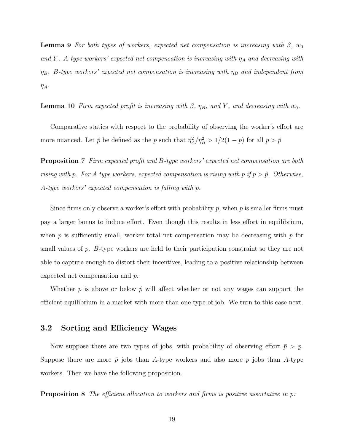**Lemma 9** For both types of workers, expected net compensation is increasing with  $\beta$ ,  $w_0$ and Y. A-type workers' expected net compensation is increasing with  $\eta_A$  and decreasing with  $\eta_B$ . B-type workers' expected net compensation is increasing with  $\eta_B$  and independent from  $\eta_A$ .

**Lemma 10** Firm expected profit is increasing with  $\beta$ ,  $\eta_B$ , and Y, and decreasing with w<sub>0</sub>.

Comparative statics with respect to the probability of observing the worker's effort are more nuanced. Let  $\hat{p}$  be defined as the p such that  $\eta_A^2/\eta_B^2 > 1/2(1-p)$  for all  $p > \hat{p}$ .

<span id="page-18-0"></span>Proposition 7 Firm expected profit and B-type workers' expected net compensation are both rising with p. For A type workers, expected compensation is rising with p if  $p > \hat{p}$ . Otherwise, A-type workers' expected compensation is falling with p.

Since firms only observe a worker's effort with probability  $p$ , when  $p$  is smaller firms must pay a larger bonus to induce effort. Even though this results in less effort in equilibrium, when p is sufficiently small, worker total net compensation may be decreasing with p for small values of p. B-type workers are held to their participation constraint so they are not able to capture enough to distort their incentives, leading to a positive relationship between expected net compensation and p.

Whether p is above or below  $\hat{p}$  will affect whether or not any wages can support the efficient equilibrium in a market with more than one type of job. We turn to this case next.

### 3.2 Sorting and Efficiency Wages

Now suppose there are two types of jobs, with probability of observing effort  $\bar{p} > p$ . Suppose there are more  $\bar{p}$  jobs than A-type workers and also more p jobs than A-type workers. Then we have the following proposition.

**Proposition 8** The efficient allocation to workers and firms is positive assortative in p: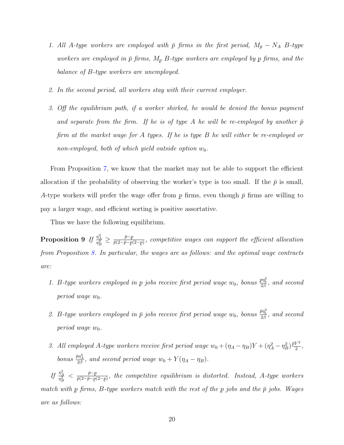- 1. All A-type workers are employed with  $\bar{p}$  firms in the first period,  $M_{\bar{p}} N_A$  B-type workers are employed in  $\bar{p}$  firms,  $M_p$  B-type workers are employed by p firms, and the balance of B-type workers are unemployed.
- <span id="page-19-0"></span>2. In the second period, all workers stay with their current employer.
- 3. Off the equilibrium path, if a worker shirked, he would be denied the bonus payment and separate from the firm. If he is of type A he will be re-employed by another  $\bar{p}$ firm at the market wage for A types. If he is type B he will either be re-employed or non-employed, both of which yield outside option  $w_0$ .

From Proposition [7,](#page-18-0) we know that the market may not be able to support the efficient allocation if the probability of observing the worker's type is too small. If the  $\bar{p}$  is small, A-type workers will prefer the wage offer from p firms, even though  $\bar{p}$  firms are willing to pay a larger wage, and efficient sorting is positive assortative.

Thus we have the following equilibrium.

 $\text{Proposition 9} \ \textit{If} \ \frac{\eta_A^2}{\eta_B^2} \geq \frac{\bar{p} - p}{\bar{p}(2 - \bar{p} - p)}$  $\frac{p-p}{\bar{p}(2-\bar{p}-p(2-p))}$ , competitive wages can support the efficient allocation from Proposition [8.](#page-19-0) In particular, the wages are as follows: and the optimal wage contracts are:

- 1. B-type workers employed in p jobs receive first period wage  $w_0$ , bonus  $\frac{p\eta_b^2}{2\beta}$ , and second period wage  $w_0$ .
- 2. B-type workers employed in  $\bar{p}$  jobs receive first period wage  $w_0$ , bonus  $\frac{\bar{p}\eta_b^2}{2\beta}$ , and second period wage  $w_0$ .
- 3. All employed A-type workers receive first period wage  $w_0 + (\eta_A \eta_B)Y + (\eta_A^2 \eta_B^2)\frac{\bar{p}Y^2}{2}$  $rac{Y^2}{2}$ , bonus  $\frac{\bar{p}\eta_A^2}{2\beta}$ , and second period wage  $w_0 + Y(\eta_A - \eta_B)$ .

If  $\frac{\eta_A^2}{\eta_B^2} < \frac{\bar{p}-p}{\bar{p}(2-\bar{p}-p)}$  $\frac{p-p}{\bar{p}(2-\bar{p}-p(2-p))}$ , the competitive equilibrium is distorted. Instead, A-type workers match with p firms, B-type workers match with the rest of the p jobs and the  $\bar{p}$  jobs. Wages are as follows: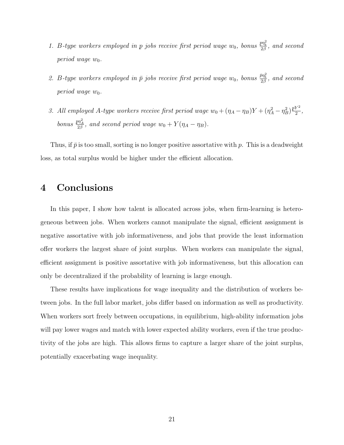- 1. B-type workers employed in p jobs receive first period wage  $w_0$ , bonus  $\frac{p\eta_b^2}{2\beta}$ , and second period wage  $w_0$ .
- 2. B-type workers employed in  $\bar{p}$  jobs receive first period wage  $w_0$ , bonus  $\frac{\bar{p}\eta_b^2}{2\beta}$ , and second period wage  $w_0$ .
- 3. All employed A-type workers receive first period wage  $w_0 + (\eta_A \eta_B)Y + (\eta_A^2 \eta_B^2)\frac{pY^2}{2}$  $\frac{r}{2}$ , bonus  $\frac{p\eta_A^2}{2\beta}$ , and second period wage  $w_0 + Y(\eta_A - \eta_B)$ .

Thus, if  $\bar{p}$  is too small, sorting is no longer positive assortative with p. This is a deadweight loss, as total surplus would be higher under the efficient allocation.

### 4 Conclusions

In this paper, I show how talent is allocated across jobs, when firm-learning is heterogeneous between jobs. When workers cannot manipulate the signal, efficient assignment is negative assortative with job informativeness, and jobs that provide the least information offer workers the largest share of joint surplus. When workers can manipulate the signal, efficient assignment is positive assortative with job informativeness, but this allocation can only be decentralized if the probability of learning is large enough.

These results have implications for wage inequality and the distribution of workers between jobs. In the full labor market, jobs differ based on information as well as productivity. When workers sort freely between occupations, in equilibrium, high-ability information jobs will pay lower wages and match with lower expected ability workers, even if the true productivity of the jobs are high. This allows firms to capture a larger share of the joint surplus, potentially exacerbating wage inequality.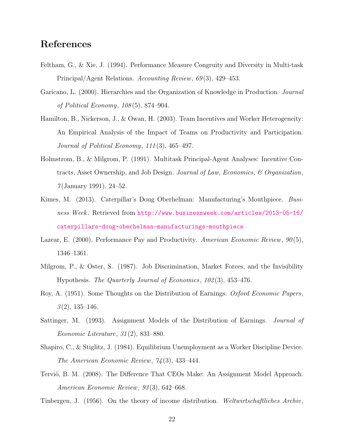## References

- <span id="page-21-10"></span>Feltham, G., & Xie, J. (1994). Performance Measure Congruity and Diversity in Multi-task Principal/Agent Relations. Accounting Review, 69(3), 429–453.
- <span id="page-21-11"></span>Garicano, L. (2000). Hierarchies and the Organization of Knowledge in Production. Journal of Political Economy, 108 (5), 874–904.
- <span id="page-21-2"></span>Hamilton, B., Nickerson, J., & Owan, H. (2003). Team Incentives and Worker Heterogeneity: An Empirical Analysis of the Impact of Teams on Productivity and Participation. Journal of Political Economy, 111 (3), 465–497.
- <span id="page-21-9"></span>Holmstrom, B., & Milgrom, P. (1991). Multitask Principal-Agent Analyses: Incentive Contracts, Asset Ownership, and Job Design. Journal of Law, Economics, & Organization,  $7$ (January 1991), 24–52.
- <span id="page-21-0"></span>Kimes, M. (2013). Caterpillar's Doug Oberhelman: Manufacturing's Mouthpiece. Business Week. Retrieved from [http://www.businessweek.com/articles/2013-05-16/](http://www.businessweek.com/articles/2013-05-16/caterpillars-doug-oberhelman-manufacturings-mouthpiece) [caterpillars-doug-oberhelman-manufacturings-mouthpiece](http://www.businessweek.com/articles/2013-05-16/caterpillars-doug-oberhelman-manufacturings-mouthpiece)
- <span id="page-21-3"></span>Lazear, E. (2000). Performance Pay and Productivity. American Economic Review, 90(5), 1346–1361.
- <span id="page-21-7"></span>Milgrom, P., & Oster, S. (1987). Job Discrimination, Market Forces, and the Invisibility Hypothesis. The Quarterly Journal of Economics, 102 (3), 453–476.
- <span id="page-21-6"></span>Roy, A. (1951). Some Thoughts on the Distribution of Earnings. Oxford Economic Papers,  $3(2)$ , 135–146.
- <span id="page-21-4"></span>Sattinger, M. (1993). Assignment Models of the Distribution of Earnings. Journal of Economic Literature, 31 (2), 831–880.
- <span id="page-21-8"></span>Shapiro, C., & Stiglitz, J. (1984). Equilibrium Unemployment as a Worker Discipline Device. The American Economic Review, 74 (3), 433–444.
- <span id="page-21-1"></span>Terviö, B. M. (2008). The Difference That CEOs Make: An Assignment Model Approach. American Economic Review, 93 (3), 642–668.

<span id="page-21-5"></span>Tinbergen, J. (1956). On the theory of income distribution. Weltwirtschaftliches Archiv,